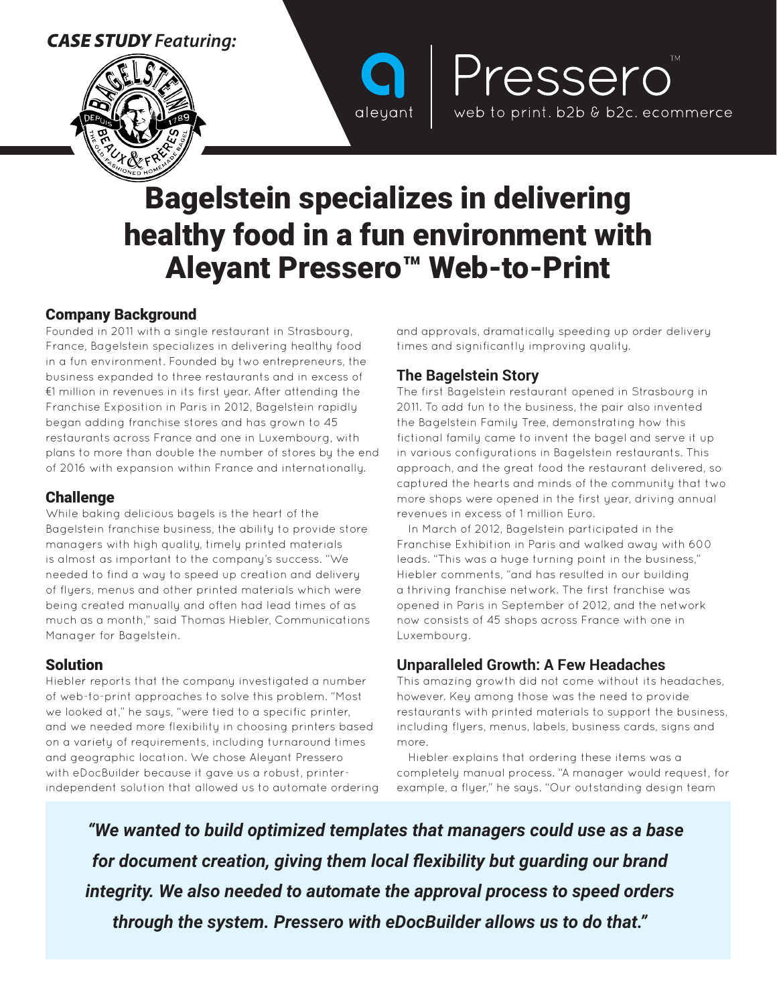# *CASE STUDY Featuring:*





# Bagelstein specializes in delivering healthy food in a fun environment with Aleyant Pressero™ Web-to-Print

## Company Background

Founded in 2011 with a single restaurant in Strasbourg, France, Bagelstein specializes in delivering healthy food in a fun environment. Founded by two entrepreneurs, the business expanded to three restaurants and in excess of €1 million in revenues in its first year. After attending the Franchise Exposition in Paris in 2012, Bagelstein rapidly began adding franchise stores and has grown to 45 restaurants across France and one in Luxembourg, with plans to more than double the number of stores by the end of 2016 with expansion within France and internationally.

## **Challenge**

While baking delicious bagels is the heart of the Bagelstein franchise business, the ability to provide store managers with high quality, timely printed materials is almost as important to the company's success. "We needed to find a way to speed up creation and delivery of flyers, menus and other printed materials which were being created manually and often had lead times of as much as a month," said Thomas Hiebler, Communications Manager for Bagelstein.

#### Solution

Hiebler reports that the company investigated a number of web-to-print approaches to solve this problem. "Most we looked at," he says, "were tied to a specific printer, and we needed more flexibility in choosing printers based on a variety of requirements, including turnaround times and geographic location. We chose Aleyant Pressero with eDocBuilder because it gave us a robust, printerindependent solution that allowed us to automate ordering and approvals, dramatically speeding up order delivery times and significantly improving quality.

Pressero

web to print. b2b & b2c. ecommerce

#### **The Bagelstein Story**

The first Bagelstein restaurant opened in Strasbourg in 2011. To add fun to the business, the pair also invented the Bagelstein Family Tree, demonstrating how this fictional family came to invent the bagel and serve it up in various configurations in Bagelstein restaurants. This approach, and the great food the restaurant delivered, so captured the hearts and minds of the community that two more shops were opened in the first year, driving annual revenues in excess of 1 million Euro.

In March of 2012, Bagelstein participated in the Franchise Exhibition in Paris and walked away with 600 leads. "This was a huge turning point in the business," Hiebler comments, "and has resulted in our building a thriving franchise network. The first franchise was opened in Paris in September of 2012, and the network now consists of 45 shops across France with one in Luxembourg.

# **Unparalleled Growth: A Few Headaches**

This amazing growth did not come without its headaches, however. Key among those was the need to provide restaurants with printed materials to support the business, including flyers, menus, labels, business cards, signs and more.

Hiebler explains that ordering these items was a completely manual process. "A manager would request, for example, a flyer," he says. "Our outstanding design team

*"We wanted to build optimized templates that managers could use as a base for document creation, giving them local flexibility but guarding our brand integrity. We also needed to automate the approval process to speed orders through the system. Pressero with eDocBuilder allows us to do that."*